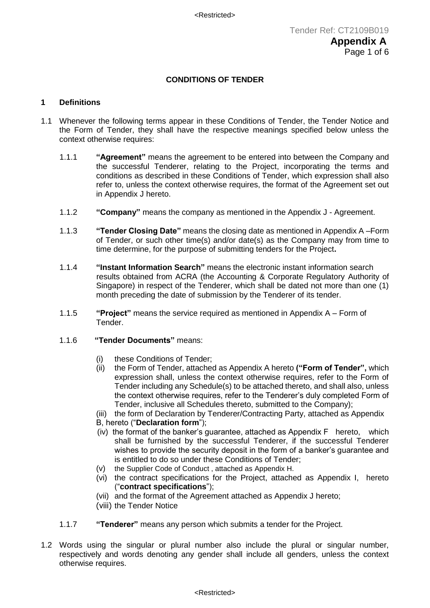# **CONDITIONS OF TENDER**

#### **1 Definitions**

- 1.1 Whenever the following terms appear in these Conditions of Tender, the Tender Notice and the Form of Tender, they shall have the respective meanings specified below unless the context otherwise requires:
	- 1.1.1 **"Agreement"** means the agreement to be entered into between the Company and the successful Tenderer, relating to the Project, incorporating the terms and conditions as described in these Conditions of Tender, which expression shall also refer to, unless the context otherwise requires, the format of the Agreement set out in Appendix J hereto.
	- 1.1.2 **"Company"** means the company as mentioned in the Appendix J Agreement.
	- 1.1.3 **"Tender Closing Date"** means the closing date as mentioned in Appendix A –Form of Tender, or such other time(s) and/or date(s) as the Company may from time to time determine, for the purpose of submitting tenders for the Project**.**
	- 1.1.4 **"Instant Information Search"** means the electronic instant information search results obtained from ACRA (the Accounting & Corporate Regulatory Authority of Singapore) in respect of the Tenderer, which shall be dated not more than one (1) month preceding the date of submission by the Tenderer of its tender.
	- 1.1.5 **"Project"** means the service required as mentioned in Appendix A Form of Tender.
	- 1.1.6 **"Tender Documents"** means:
		- (i) these Conditions of Tender;
		- (ii) the Form of Tender, attached as Appendix A hereto **("Form of Tender",** which expression shall, unless the context otherwise requires, refer to the Form of Tender including any Schedule(s) to be attached thereto, and shall also, unless the context otherwise requires, refer to the Tenderer's duly completed Form of Tender, inclusive all Schedules thereto, submitted to the Company);
		- (iii) the form of Declaration by Tenderer/Contracting Party, attached as Appendix B, hereto ("**Declaration form**");
		- (iv) the format of the banker's guarantee, attached as Appendix F hereto, which shall be furnished by the successful Tenderer, if the successful Tenderer wishes to provide the security deposit in the form of a banker's guarantee and is entitled to do so under these Conditions of Tender;
		- (v) the Supplier Code of Conduct , attached as Appendix H.
		- (vi) the contract specifications for the Project, attached as Appendix I, hereto ("**contract specifications**");
		- (vii) and the format of the Agreement attached as Appendix J hereto;
		- (viii) the Tender Notice
	- 1.1.7 **"Tenderer"** means any person which submits a tender for the Project.
- 1.2 Words using the singular or plural number also include the plural or singular number, respectively and words denoting any gender shall include all genders, unless the context otherwise requires.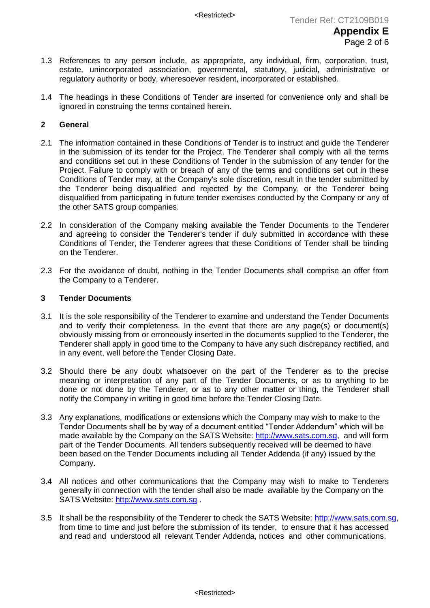- 1.3 References to any person include, as appropriate, any individual, firm, corporation, trust, estate, unincorporated association, governmental, statutory, judicial, administrative or regulatory authority or body, wheresoever resident, incorporated or established.
- 1.4 The headings in these Conditions of Tender are inserted for convenience only and shall be ignored in construing the terms contained herein.

# **2 General**

- 2.1 The information contained in these Conditions of Tender is to instruct and guide the Tenderer in the submission of its tender for the Project. The Tenderer shall comply with all the terms and conditions set out in these Conditions of Tender in the submission of any tender for the Project. Failure to comply with or breach of any of the terms and conditions set out in these Conditions of Tender may, at the Company's sole discretion, result in the tender submitted by the Tenderer being disqualified and rejected by the Company, or the Tenderer being disqualified from participating in future tender exercises conducted by the Company or any of the other SATS group companies.
- 2.2 In consideration of the Company making available the Tender Documents to the Tenderer and agreeing to consider the Tenderer's tender if duly submitted in accordance with these Conditions of Tender, the Tenderer agrees that these Conditions of Tender shall be binding on the Tenderer.
- 2.3 For the avoidance of doubt, nothing in the Tender Documents shall comprise an offer from the Company to a Tenderer.

#### **3 Tender Documents**

- 3.1 It is the sole responsibility of the Tenderer to examine and understand the Tender Documents and to verify their completeness. In the event that there are any page(s) or document(s) obviously missing from or erroneously inserted in the documents supplied to the Tenderer, the Tenderer shall apply in good time to the Company to have any such discrepancy rectified, and in any event, well before the Tender Closing Date.
- 3.2 Should there be any doubt whatsoever on the part of the Tenderer as to the precise meaning or interpretation of any part of the Tender Documents, or as to anything to be done or not done by the Tenderer, or as to any other matter or thing, the Tenderer shall notify the Company in writing in good time before the Tender Closing Date.
- 3.3 Any explanations, modifications or extensions which the Company may wish to make to the Tender Documents shall be by way of a document entitled "Tender Addendum" which will be made available by the Company on the SATS Website: [http://www.sats.com.sg,](http://www.sats.com.sg/) and will form part of the Tender Documents. All tenders subsequently received will be deemed to have been based on the Tender Documents including all Tender Addenda (if any) issued by the Company.
- 3.4 All notices and other communications that the Company may wish to make to Tenderers generally in connection with the tender shall also be made available by the Company on the SATS Website: [http://www.sats.com.sg](http://www.sats.com.sg/) .
- 3.5 It shall be the responsibility of the Tenderer to check the SATS Website: http://www.sats.com.sg, from time to time and just before the submission of its tender, to ensure that it has accessed and read and understood all relevant Tender Addenda, notices and other communications.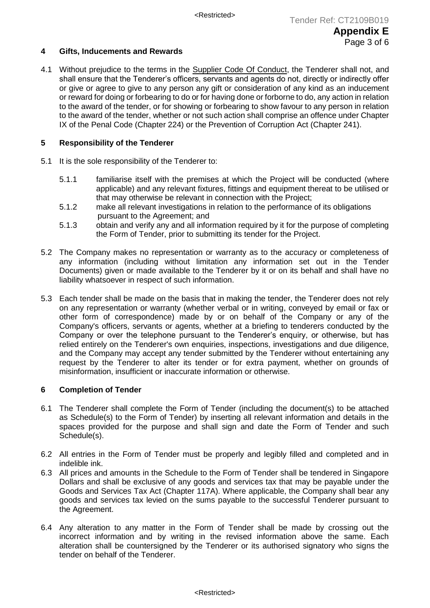### **4 Gifts, Inducements and Rewards**

4.1 Without prejudice to the terms in the Supplier Code Of Conduct, the Tenderer shall not, and shall ensure that the Tenderer's officers, servants and agents do not, directly or indirectly offer or give or agree to give to any person any gift or consideration of any kind as an inducement or reward for doing or forbearing to do or for having done or forborne to do, any action in relation to the award of the tender, or for showing or forbearing to show favour to any person in relation to the award of the tender, whether or not such action shall comprise an offence under Chapter IX of the Penal Code (Chapter 224) or the Prevention of Corruption Act (Chapter 241).

# **5 Responsibility of the Tenderer**

- 5.1 It is the sole responsibility of the Tenderer to:
	- 5.1.1 familiarise itself with the premises at which the Project will be conducted (where applicable) and any relevant fixtures, fittings and equipment thereat to be utilised or that may otherwise be relevant in connection with the Project;
	- 5.1.2 make all relevant investigations in relation to the performance of its obligations pursuant to the Agreement; and
	- 5.1.3 obtain and verify any and all information required by it for the purpose of completing the Form of Tender, prior to submitting its tender for the Project.
- 5.2 The Company makes no representation or warranty as to the accuracy or completeness of any information (including without limitation any information set out in the Tender Documents) given or made available to the Tenderer by it or on its behalf and shall have no liability whatsoever in respect of such information.
- 5.3 Each tender shall be made on the basis that in making the tender, the Tenderer does not rely on any representation or warranty (whether verbal or in writing, conveyed by email or fax or other form of correspondence) made by or on behalf of the Company or any of the Company's officers, servants or agents, whether at a briefing to tenderers conducted by the Company or over the telephone pursuant to the Tenderer's enquiry, or otherwise, but has relied entirely on the Tenderer's own enquiries, inspections, investigations and due diligence. and the Company may accept any tender submitted by the Tenderer without entertaining any request by the Tenderer to alter its tender or for extra payment, whether on grounds of misinformation, insufficient or inaccurate information or otherwise*.*

### **6 Completion of Tender**

- 6.1 The Tenderer shall complete the Form of Tender (including the document(s) to be attached as Schedule(s) to the Form of Tender) by inserting all relevant information and details in the spaces provided for the purpose and shall sign and date the Form of Tender and such Schedule(s).
- 6.2 All entries in the Form of Tender must be properly and legibly filled and completed and in indelible ink.
- 6.3 All prices and amounts in the Schedule to the Form of Tender shall be tendered in Singapore Dollars and shall be exclusive of any goods and services tax that may be payable under the Goods and Services Tax Act (Chapter 117A). Where applicable, the Company shall bear any goods and services tax levied on the sums payable to the successful Tenderer pursuant to the Agreement.
- 6.4 Any alteration to any matter in the Form of Tender shall be made by crossing out the incorrect information and by writing in the revised information above the same. Each alteration shall be countersigned by the Tenderer or its authorised signatory who signs the tender on behalf of the Tenderer.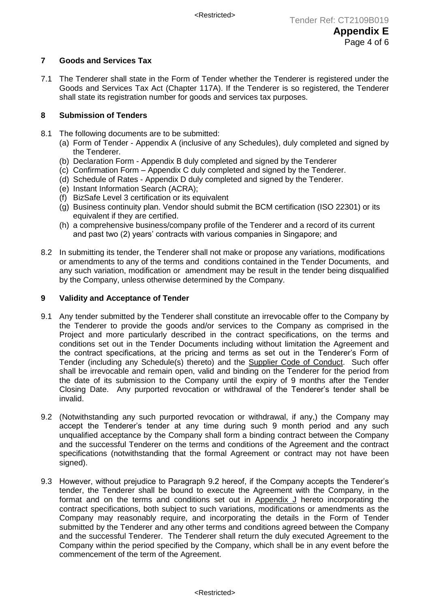# **7 Goods and Services Tax**

7.1 The Tenderer shall state in the Form of Tender whether the Tenderer is registered under the Goods and Services Tax Act (Chapter 117A). If the Tenderer is so registered, the Tenderer shall state its registration number for goods and services tax purposes.

# **8 Submission of Tenders**

- 8.1 The following documents are to be submitted:
	- (a) Form of Tender Appendix A (inclusive of any Schedules), duly completed and signed by the Tenderer.
	- (b) Declaration Form Appendix B duly completed and signed by the Tenderer
	- (c) Confirmation Form Appendix C duly completed and signed by the Tenderer.
	- (d) Schedule of Rates Appendix D duly completed and signed by the Tenderer.
	- (e) Instant Information Search (ACRA);
	- (f) BizSafe Level 3 certification or its equivalent
	- (g) Business continuity plan. Vendor should submit the BCM certification (ISO 22301) or its equivalent if they are certified.
	- (h) a comprehensive business/company profile of the Tenderer and a record of its current and past two (2) years' contracts with various companies in Singapore; and
- 8.2 In submitting its tender, the Tenderer shall not make or propose any variations, modifications or amendments to any of the terms and conditions contained in the Tender Documents, and any such variation, modification or amendment may be result in the tender being disqualified by the Company, unless otherwise determined by the Company.

### **9 Validity and Acceptance of Tender**

- 9.1 Any tender submitted by the Tenderer shall constitute an irrevocable offer to the Company by the Tenderer to provide the goods and/or services to the Company as comprised in the Project and more particularly described in the contract specifications, on the terms and conditions set out in the Tender Documents including without limitation the Agreement and the contract specifications, at the pricing and terms as set out in the Tenderer's Form of Tender (including any Schedule(s) thereto) and the Supplier Code of Conduct. Such offer shall be irrevocable and remain open, valid and binding on the Tenderer for the period from the date of its submission to the Company until the expiry of 9 months after the Tender Closing Date. Any purported revocation or withdrawal of the Tenderer's tender shall be invalid.
- 9.2 (Notwithstanding any such purported revocation or withdrawal, if any,) the Company may accept the Tenderer's tender at any time during such 9 month period and any such unqualified acceptance by the Company shall form a binding contract between the Company and the successful Tenderer on the terms and conditions of the Agreement and the contract specifications (notwithstanding that the formal Agreement or contract may not have been signed).
- 9.3 However, without prejudice to Paragraph 9.2 hereof, if the Company accepts the Tenderer's tender, the Tenderer shall be bound to execute the Agreement with the Company, in the format and on the terms and conditions set out in Appendix J hereto incorporating the contract specifications, both subject to such variations, modifications or amendments as the Company may reasonably require, and incorporating the details in the Form of Tender submitted by the Tenderer and any other terms and conditions agreed between the Company and the successful Tenderer. The Tenderer shall return the duly executed Agreement to the Company within the period specified by the Company, which shall be in any event before the commencement of the term of the Agreement.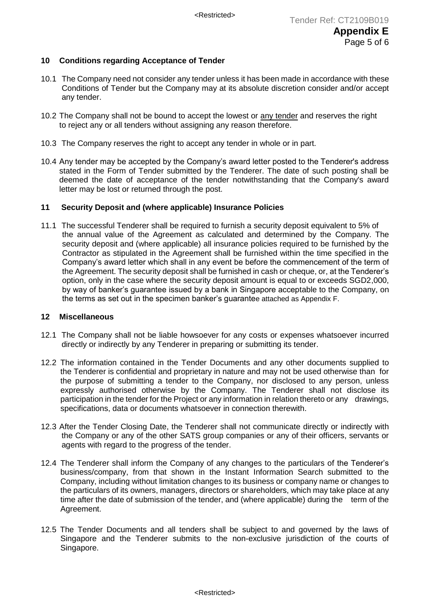# **10 Conditions regarding Acceptance of Tender**

- 10.1 The Company need not consider any tender unless it has been made in accordance with these Conditions of Tender but the Company may at its absolute discretion consider and/or accept any tender.
- 10.2 The Company shall not be bound to accept the lowest or any tender and reserves the right to reject any or all tenders without assigning any reason therefore.
- 10.3 The Company reserves the right to accept any tender in whole or in part.
- 10.4 Any tender may be accepted by the Company's award letter posted to the Tenderer's address stated in the Form of Tender submitted by the Tenderer. The date of such posting shall be deemed the date of acceptance of the tender notwithstanding that the Company's award letter may be lost or returned through the post.

### **11 Security Deposit and (where applicable) Insurance Policies**

11.1 The successful Tenderer shall be required to furnish a security deposit equivalent to 5% of the annual value of the Agreement as calculated and determined by the Company. The security deposit and (where applicable) all insurance policies required to be furnished by the Contractor as stipulated in the Agreement shall be furnished within the time specified in the Company's award letter which shall in any event be before the commencement of the term of the Agreement. The security deposit shall be furnished in cash or cheque, or, at the Tenderer's option, only in the case where the security deposit amount is equal to or exceeds SGD2,000, by way of banker's guarantee issued by a bank in Singapore acceptable to the Company, on the terms as set out in the specimen banker's guarantee attached as Appendix F.

# **12 Miscellaneous**

- 12.1 The Company shall not be liable howsoever for any costs or expenses whatsoever incurred directly or indirectly by any Tenderer in preparing or submitting its tender.
- 12.2 The information contained in the Tender Documents and any other documents supplied to the Tenderer is confidential and proprietary in nature and may not be used otherwise than for the purpose of submitting a tender to the Company, nor disclosed to any person, unless expressly authorised otherwise by the Company. The Tenderer shall not disclose its participation in the tender for the Project or any information in relation thereto or any drawings, specifications, data or documents whatsoever in connection therewith.
- 12.3 After the Tender Closing Date, the Tenderer shall not communicate directly or indirectly with the Company or any of the other SATS group companies or any of their officers, servants or agents with regard to the progress of the tender.
- 12.4 The Tenderer shall inform the Company of any changes to the particulars of the Tenderer's business/company, from that shown in the Instant Information Search submitted to the Company, including without limitation changes to its business or company name or changes to the particulars of its owners, managers, directors or shareholders, which may take place at any time after the date of submission of the tender, and (where applicable) during the term of the Agreement.
- 12.5 The Tender Documents and all tenders shall be subject to and governed by the laws of Singapore and the Tenderer submits to the non-exclusive jurisdiction of the courts of Singapore.